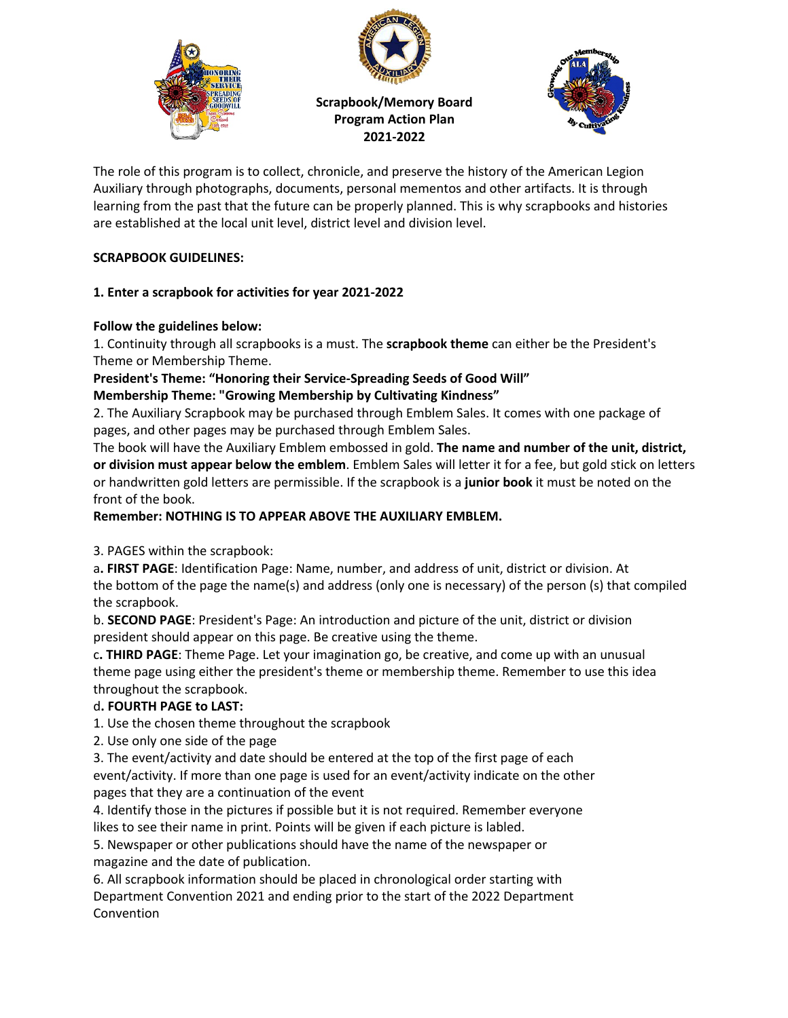



**Scrapbook/Memory Board Program Action Plan 2021-2022**



The role of this program is to collect, chronicle, and preserve the history of the American Legion Auxiliary through photographs, documents, personal mementos and other artifacts. It is through learning from the past that the future can be properly planned. This is why scrapbooks and histories are established at the local unit level, district level and division level.

## **SCRAPBOOK GUIDELINES:**

## **1. Enter a scrapbook for activities for year 2021-2022**

## **Follow the guidelines below:**

1. Continuity through all scrapbooks is a must. The **scrapbook theme** can either be the President's Theme or Membership Theme.

**President's Theme: "Honoring their Service-Spreading Seeds of Good Will" Membership Theme: "Growing Membership by Cultivating Kindness"**

2. The Auxiliary Scrapbook may be purchased through Emblem Sales. It comes with one package of pages, and other pages may be purchased through Emblem Sales.

The book will have the Auxiliary Emblem embossed in gold. **The name and number of the unit, district, or division must appear below the emblem**. Emblem Sales will letter it for a fee, but gold stick on letters or handwritten gold letters are permissible. If the scrapbook is a **junior book** it must be noted on the front of the book.

## **Remember: NOTHING IS TO APPEAR ABOVE THE AUXILIARY EMBLEM.**

3. PAGES within the scrapbook:

a**. FIRST PAGE**: Identification Page: Name, number, and address of unit, district or division. At the bottom of the page the name(s) and address (only one is necessary) of the person (s) that compiled the scrapbook.

b. **SECOND PAGE**: President's Page: An introduction and picture of the unit, district or division president should appear on this page. Be creative using the theme.

c**. THIRD PAGE**: Theme Page. Let your imagination go, be creative, and come up with an unusual theme page using either the president's theme or membership theme. Remember to use this idea throughout the scrapbook.

# d**. FOURTH PAGE to LAST:**

1. Use the chosen theme throughout the scrapbook

2. Use only one side of the page

3. The event/activity and date should be entered at the top of the first page of each event/activity. If more than one page is used for an event/activity indicate on the other pages that they are a continuation of the event

4. Identify those in the pictures if possible but it is not required. Remember everyone likes to see their name in print. Points will be given if each picture is labled.

5. Newspaper or other publications should have the name of the newspaper or magazine and the date of publication.

6. All scrapbook information should be placed in chronological order starting with Department Convention 2021 and ending prior to the start of the 2022 Department Convention